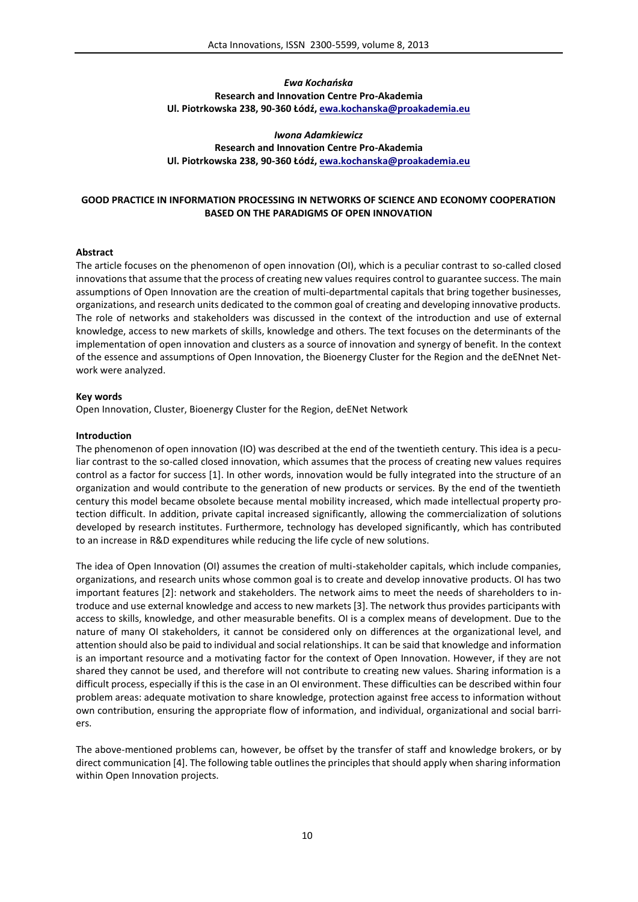# *Ewa Kochańska* **Research and Innovation Centre Pro-Akademia Ul. Piotrkowska 238, 90-360 Łódź, ewa.kochanska@proakademia.eu**

*Iwona Adamkiewicz* **Research and Innovation Centre Pro-Akademia Ul. Piotrkowska 238, 90-360 Łódź, ewa.kochanska@proakademia.eu**

## **GOOD PRACTICE IN INFORMATION PROCESSING IN NETWORKS OF SCIENCE AND ECONOMY COOPERATION BASED ON THE PARADIGMS OF OPEN INNOVATION**

### **Abstract**

The article focuses on the phenomenon of open innovation (OI), which is a peculiar contrast to so-called closed innovationsthat assume that the process of creating new values requires control to guarantee success. The main assumptions of Open Innovation are the creation of multi-departmental capitals that bring together businesses, organizations, and research units dedicated to the common goal of creating and developing innovative products. The role of networks and stakeholders was discussed in the context of the introduction and use of external knowledge, access to new markets of skills, knowledge and others. The text focuses on the determinants of the implementation of open innovation and clusters as a source of innovation and synergy of benefit. In the context of the essence and assumptions of Open Innovation, the Bioenergy Cluster for the Region and the deENnet Network were analyzed.

#### **Key words**

Open Innovation, Cluster, Bioenergy Cluster for the Region, deENet Network

#### **Introduction**

The phenomenon of open innovation (IO) was described at the end of the twentieth century. This idea is a peculiar contrast to the so-called closed innovation, which assumes that the process of creating new values requires control as a factor for success [1]. In other words, innovation would be fully integrated into the structure of an organization and would contribute to the generation of new products or services. By the end of the twentieth century this model became obsolete because mental mobility increased, which made intellectual property protection difficult. In addition, private capital increased significantly, allowing the commercialization of solutions developed by research institutes. Furthermore, technology has developed significantly, which has contributed to an increase in R&D expenditures while reducing the life cycle of new solutions.

The idea of Open Innovation (OI) assumes the creation of multi-stakeholder capitals, which include companies, organizations, and research units whose common goal is to create and develop innovative products. OI has two important features [2]: network and stakeholders. The network aims to meet the needs of shareholders to introduce and use external knowledge and access to new markets [3]. The network thus provides participants with access to skills, knowledge, and other measurable benefits. OI is a complex means of development. Due to the nature of many OI stakeholders, it cannot be considered only on differences at the organizational level, and attention should also be paid to individual and social relationships. It can be said that knowledge and information is an important resource and a motivating factor for the context of Open Innovation. However, if they are not shared they cannot be used, and therefore will not contribute to creating new values. Sharing information is a difficult process, especially if this is the case in an OI environment. These difficulties can be described within four problem areas: adequate motivation to share knowledge, protection against free access to information without own contribution, ensuring the appropriate flow of information, and individual, organizational and social barriers.

The above-mentioned problems can, however, be offset by the transfer of staff and knowledge brokers, or by direct communication [4]. The following table outlines the principles that should apply when sharing information within Open Innovation projects.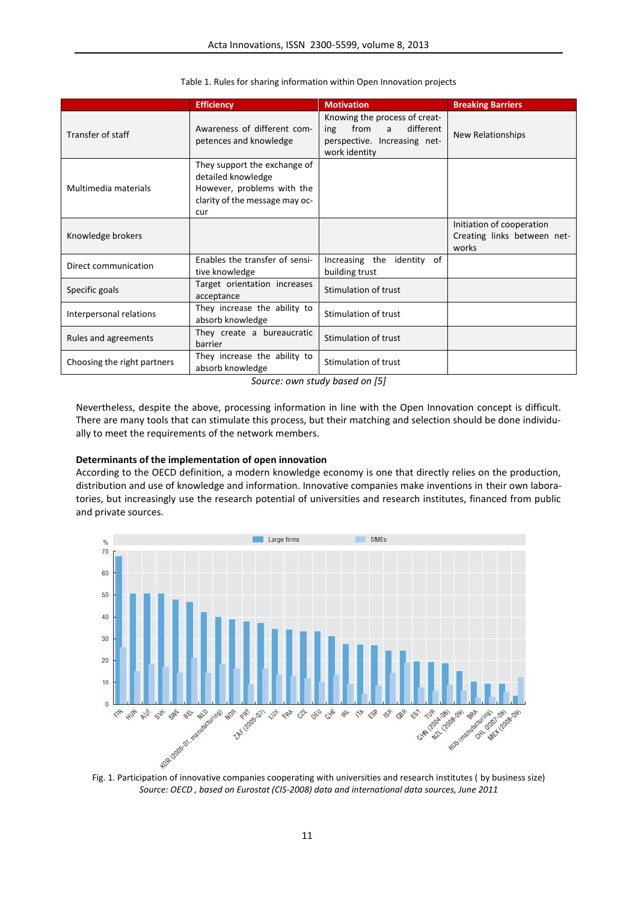|                             | <b>Efficiency</b>                                                                                                         | <b>Motivation</b>                                                                                            | <b>Breaking Barriers</b>                                          |
|-----------------------------|---------------------------------------------------------------------------------------------------------------------------|--------------------------------------------------------------------------------------------------------------|-------------------------------------------------------------------|
| Transfer of staff           | Awareness of different com-<br>petences and knowledge                                                                     | Knowing the process of creat-<br>from a<br>different<br>ing<br>perspective. Increasing net-<br>work identity | New Relationships                                                 |
| Multimedia materials        | They support the exchange of<br>detailed knowledge<br>However, problems with the<br>clarity of the message may oc-<br>cur |                                                                                                              |                                                                   |
| Knowledge brokers           |                                                                                                                           |                                                                                                              | Initiation of cooperation<br>Creating links between net-<br>works |
| Direct communication        | Enables the transfer of sensi-<br>tive knowledge                                                                          | Increasing the identity of<br>building trust                                                                 |                                                                   |
| Specific goals              | Target orientation increases<br>acceptance                                                                                | Stimulation of trust                                                                                         |                                                                   |
| Interpersonal relations     | They increase the ability to<br>absorb knowledge                                                                          | Stimulation of trust                                                                                         |                                                                   |
| Rules and agreements        | They create a bureaucratic<br>barrier                                                                                     | Stimulation of trust                                                                                         |                                                                   |
| Choosing the right partners | They increase the ability to<br>absorb knowledge                                                                          | Stimulation of trust                                                                                         |                                                                   |

Table 1. Rules for sharing information within Open Innovation projects

*Source: own study based on [5]*

Nevertheless, despite the above, processing information in line with the Open Innovation concept is difficult. There are many tools that can stimulate this process, but their matching and selection should be done individually to meet the requirements of the network members.

### **Determinants of the implementation of open innovation**

According to the OECD definition, a modern knowledge economy is one that directly relies on the production, distribution and use of knowledge and information. Innovative companies make inventions in their own laboratories, but increasingly use the research potential of universities and research institutes, financed from public and private sources.



*Source: OECD , based on Eurostat (CIS-2008) data and international data sources, June 2011*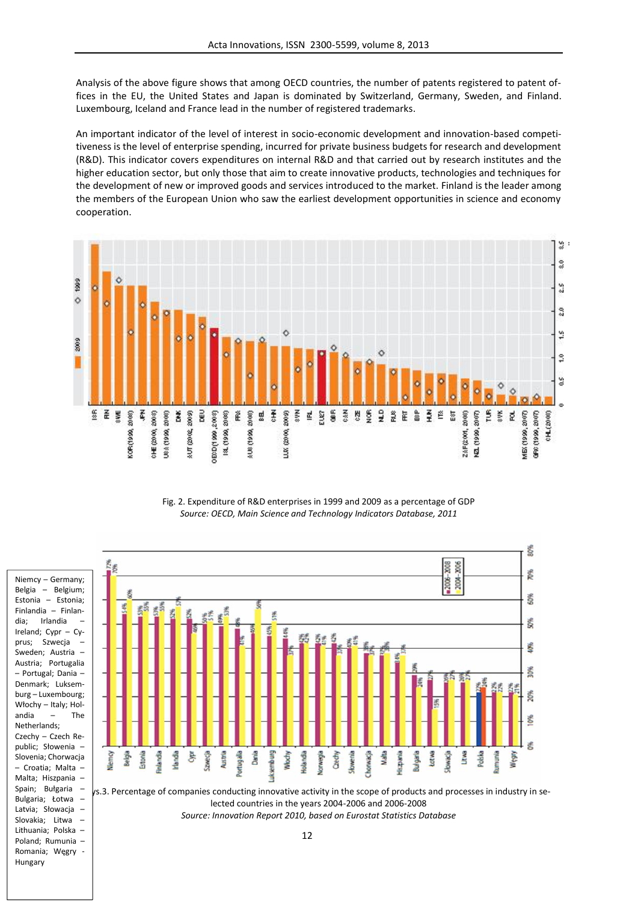Analysis of the above figure shows that among OECD countries, the number of patents registered to patent offices in the EU, the United States and Japan is dominated by Switzerland, Germany, Sweden, and Finland. Luxembourg, Iceland and France lead in the number of registered trademarks.

An important indicator of the level of interest in socio-economic development and innovation-based competitiveness is the level of enterprise spending, incurred for private business budgets for research and development (R&D). This indicator covers expenditures on internal R&D and that carried out by research institutes and the higher education sector, but only those that aim to create innovative products, technologies and techniques for the development of new or improved goods and services introduced to the market. Finland is the leader among the members of the European Union who saw the earliest development opportunities in science and economy cooperation.



Fig. 2. Expenditure of R&D enterprises in 1999 and 2009 as a percentage of GDP *Source: OECD, Main Science and Technology Indicators Database, 2011*



dia; Irlandia –

prus; Szwecja –

Netherlands;

Bulgaria; Łotwa – Latvia: Słowacia – Slovakia; Litwa – Lithuania; Polska – Poland; Rumunia – Romania; Węgry -

Hungary

es.3. Percentage of companies conducting innovative activity in the scope of products and processes in industry in selected countries in the years 2004-2006 and 2006-2008 *Source: Innovation Report 2010, based on Eurostat Statistics Database*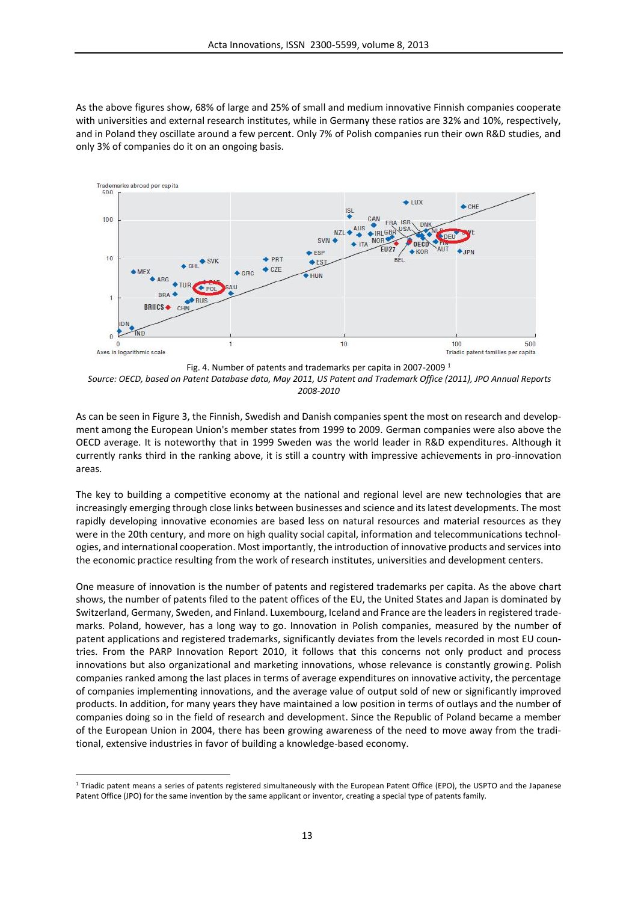As the above figures show, 68% of large and 25% of small and medium innovative Finnish companies cooperate with universities and external research institutes, while in Germany these ratios are 32% and 10%, respectively, and in Poland they oscillate around a few percent. Only 7% of Polish companies run their own R&D studies, and only 3% of companies do it on an ongoing basis.



Fig. 4. Number of patents and trademarks per capita in 2007-2009 <sup>1</sup> *Source: OECD, based on Patent Database data, May 2011, US Patent and Trademark Office (2011), JPO Annual Reports 2008-2010*

As can be seen in Figure 3, the Finnish, Swedish and Danish companies spent the most on research and development among the European Union's member states from 1999 to 2009. German companies were also above the OECD average. It is noteworthy that in 1999 Sweden was the world leader in R&D expenditures. Although it currently ranks third in the ranking above, it is still a country with impressive achievements in pro-innovation areas.

The key to building a competitive economy at the national and regional level are new technologies that are increasingly emerging through close links between businesses and science and its latest developments. The most rapidly developing innovative economies are based less on natural resources and material resources as they were in the 20th century, and more on high quality social capital, information and telecommunications technologies, and international cooperation. Most importantly, the introduction of innovative products and services into the economic practice resulting from the work of research institutes, universities and development centers.

One measure of innovation is the number of patents and registered trademarks per capita. As the above chart shows, the number of patents filed to the patent offices of the EU, the United States and Japan is dominated by Switzerland, Germany, Sweden, and Finland. Luxembourg, Iceland and France are the leaders in registered trademarks. Poland, however, has a long way to go. Innovation in Polish companies, measured by the number of patent applications and registered trademarks, significantly deviates from the levels recorded in most EU countries. From the PARP Innovation Report 2010, it follows that this concerns not only product and process innovations but also organizational and marketing innovations, whose relevance is constantly growing. Polish companies ranked among the last places in terms of average expenditures on innovative activity, the percentage of companies implementing innovations, and the average value of output sold of new or significantly improved products. In addition, for many years they have maintained a low position in terms of outlays and the number of companies doing so in the field of research and development. Since the Republic of Poland became a member of the European Union in 2004, there has been growing awareness of the need to move away from the traditional, extensive industries in favor of building a knowledge-based economy.

<sup>1</sup> Triadic patent means a series of patents registered simultaneously with the European Patent Office (EPO), the USPTO and the Japanese Patent Office (JPO) for the same invention by the same applicant or inventor, creating a special type of patents family.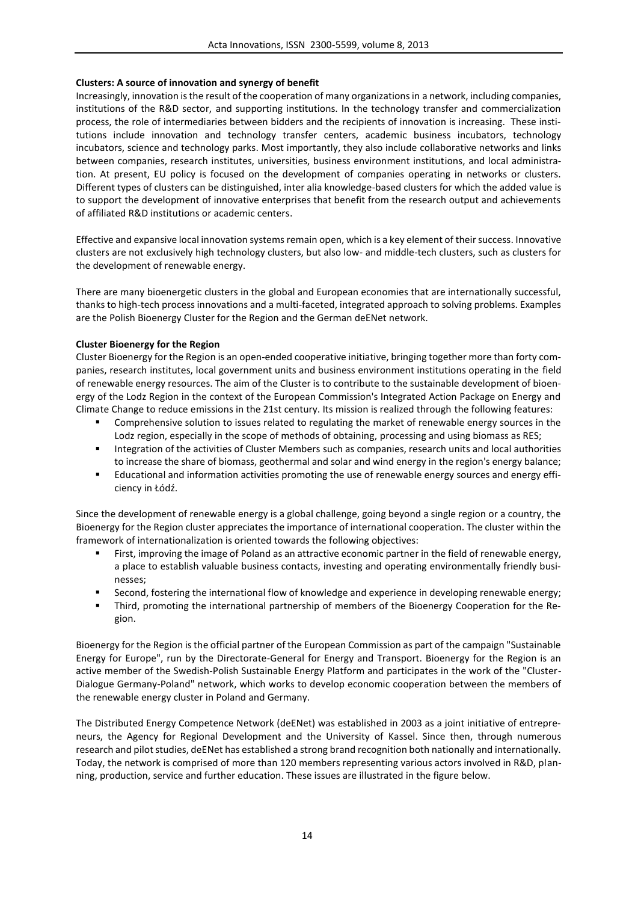## **Clusters: A source of innovation and synergy of benefit**

Increasingly, innovation is the result of the cooperation of many organizations in a network, including companies, institutions of the R&D sector, and supporting institutions. In the technology transfer and commercialization process, the role of intermediaries between bidders and the recipients of innovation is increasing. These institutions include innovation and technology transfer centers, academic business incubators, technology incubators, science and technology parks. Most importantly, they also include collaborative networks and links between companies, research institutes, universities, business environment institutions, and local administration. At present, EU policy is focused on the development of companies operating in networks or clusters. Different types of clusters can be distinguished, inter alia knowledge-based clusters for which the added value is to support the development of innovative enterprises that benefit from the research output and achievements of affiliated R&D institutions or academic centers.

Effective and expansive local innovation systems remain open, which is a key element of their success. Innovative clusters are not exclusively high technology clusters, but also low- and middle-tech clusters, such as clusters for the development of renewable energy.

There are many bioenergetic clusters in the global and European economies that are internationally successful, thanks to high-tech process innovations and a multi-faceted, integrated approach to solving problems. Examples are the Polish Bioenergy Cluster for the Region and the German deENet network.

## **Cluster Bioenergy for the Region**

Cluster Bioenergy for the Region is an open-ended cooperative initiative, bringing together more than forty companies, research institutes, local government units and business environment institutions operating in the field of renewable energy resources. The aim of the Cluster is to contribute to the sustainable development of bioenergy of the Lodz Region in the context of the European Commission's Integrated Action Package on Energy and Climate Change to reduce emissions in the 21st century. Its mission is realized through the following features:

- **Comprehensive solution to issues related to regulating the market of renewable energy sources in the** Lodz region, especially in the scope of methods of obtaining, processing and using biomass as RES;
- **Integration of the activities of Cluster Members such as companies, research units and local authorities** to increase the share of biomass, geothermal and solar and wind energy in the region's energy balance;
- Educational and information activities promoting the use of renewable energy sources and energy efficiency in Łódź.

Since the development of renewable energy is a global challenge, going beyond a single region or a country, the Bioenergy for the Region cluster appreciates the importance of international cooperation. The cluster within the framework of internationalization is oriented towards the following objectives:

- First, improving the image of Poland as an attractive economic partner in the field of renewable energy, a place to establish valuable business contacts, investing and operating environmentally friendly businesses;
- Second, fostering the international flow of knowledge and experience in developing renewable energy;
- Third, promoting the international partnership of members of the Bioenergy Cooperation for the Region.

Bioenergy for the Region is the official partner of the European Commission as part of the campaign "Sustainable Energy for Europe", run by the Directorate-General for Energy and Transport. Bioenergy for the Region is an active member of the Swedish-Polish Sustainable Energy Platform and participates in the work of the "Cluster- Dialogue Germany-Poland" network, which works to develop economic cooperation between the members of the renewable energy cluster in Poland and Germany.

The Distributed Energy Competence Network (deENet) was established in 2003 as a joint initiative of entrepreneurs, the Agency for Regional Development and the University of Kassel. Since then, through numerous research and pilot studies, deENet has established a strong brand recognition both nationally and internationally. Today, the network is comprised of more than 120 members representing various actors involved in R&D, planning, production, service and further education. These issues are illustrated in the figure below.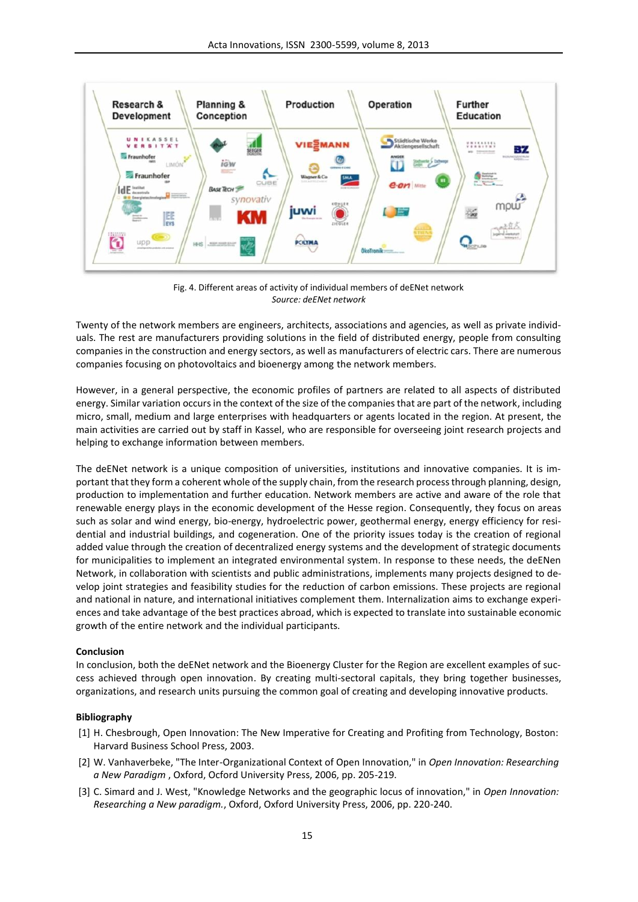

Fig. 4. Different areas of activity of individual members of deENet network *Source: deENet network*

Twenty of the network members are engineers, architects, associations and agencies, as well as private individuals. The rest are manufacturers providing solutions in the field of distributed energy, people from consulting companies in the construction and energy sectors, as well as manufacturers of electric cars. There are numerous companies focusing on photovoltaics and bioenergy among the network members.

However, in a general perspective, the economic profiles of partners are related to all aspects of distributed energy. Similar variation occurs in the context of the size of the companies that are part of the network, including micro, small, medium and large enterprises with headquarters or agents located in the region. At present, the main activities are carried out by staff in Kassel, who are responsible for overseeing joint research projects and helping to exchange information between members.

The deENet network is a unique composition of universities, institutions and innovative companies. It is important that they form a coherent whole of the supply chain, from the research process through planning, design, production to implementation and further education. Network members are active and aware of the role that renewable energy plays in the economic development of the Hesse region. Consequently, they focus on areas such as solar and wind energy, bio-energy, hydroelectric power, geothermal energy, energy efficiency for residential and industrial buildings, and cogeneration. One of the priority issues today is the creation of regional added value through the creation of decentralized energy systems and the development of strategic documents for municipalities to implement an integrated environmental system. In response to these needs, the deENen Network, in collaboration with scientists and public administrations, implements many projects designed to develop joint strategies and feasibility studies for the reduction of carbon emissions. These projects are regional and national in nature, and international initiatives complement them. Internalization aims to exchange experiences and take advantage of the best practices abroad, which is expected to translate into sustainable economic growth of the entire network and the individual participants.

### **Conclusion**

In conclusion, both the deENet network and the Bioenergy Cluster for the Region are excellent examples of success achieved through open innovation. By creating multi-sectoral capitals, they bring together businesses, organizations, and research units pursuing the common goal of creating and developing innovative products.

### **Bibliography**

- [1] H. Chesbrough, Open Innovation: The New Imperative for Creating and Profiting from Technology, Boston: Harvard Business School Press, 2003.
- [2] W. Vanhaverbeke, "The Inter-Organizational Context of Open Innovation," in *Open Innovation: Researching a New Paradigm* , Oxford, Ocford University Press, 2006, pp. 205-219.
- [3] C. Simard and J. West, "Knowledge Networks and the geographic locus of innovation," in *Open Innovation: Researching a New paradigm.*, Oxford, Oxford University Press, 2006, pp. 220-240.